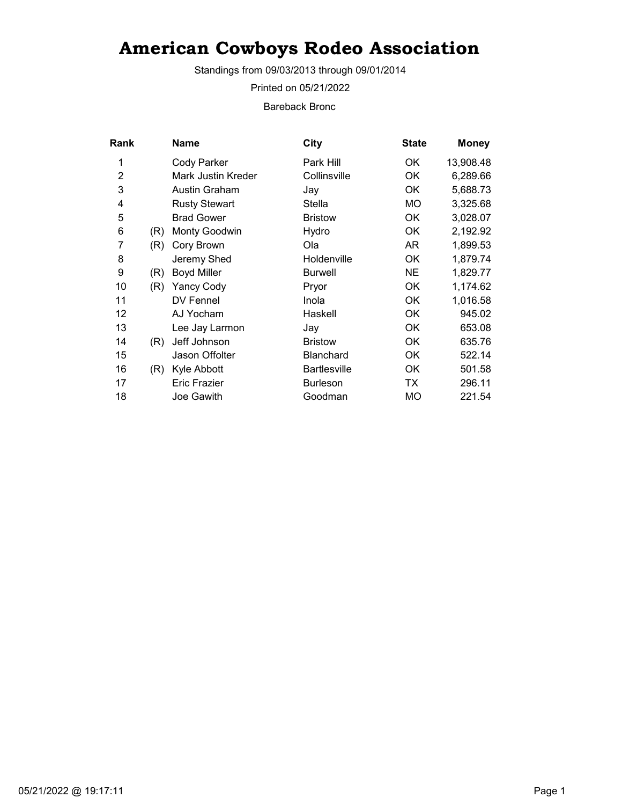Standings from 09/03/2013 through 09/01/2014

Printed on 05/21/2022

Bareback Bronc

| Rank           |     | Name                 | City                | <b>State</b> | <b>Money</b> |
|----------------|-----|----------------------|---------------------|--------------|--------------|
| 1              |     | Cody Parker          | Park Hill           | OK.          | 13,908.48    |
| $\overline{2}$ |     | Mark Justin Kreder   | Collinsville        | 0K           | 6,289.66     |
| 3              |     | Austin Graham        | Jay                 | OK           | 5,688.73     |
| 4              |     | <b>Rusty Stewart</b> | Stella              | <b>MO</b>    | 3,325.68     |
| 5              |     | <b>Brad Gower</b>    | <b>Bristow</b>      | OK           | 3,028.07     |
| 6              | (R) | <b>Monty Goodwin</b> | Hydro               | 0K           | 2,192.92     |
| 7              | (R) | Cory Brown           | Ola                 | AR.          | 1,899.53     |
| 8              |     | Jeremy Shed          | Holdenville         | OK           | 1,879.74     |
| 9              | (R) | <b>Boyd Miller</b>   | <b>Burwell</b>      | <b>NE</b>    | 1,829.77     |
| 10             | (R) | <b>Yancy Cody</b>    | Pryor               | OK           | 1,174.62     |
| 11             |     | DV Fennel            | Inola               | OK           | 1,016.58     |
| 12             |     | AJ Yocham            | Haskell             | OK           | 945.02       |
| 13             |     | Lee Jay Larmon       | Jay                 | OK           | 653.08       |
| 14             | (R) | Jeff Johnson         | <b>Bristow</b>      | OK           | 635.76       |
| 15             |     | Jason Offolter       | <b>Blanchard</b>    | 0K           | 522.14       |
| 16             | (R) | Kyle Abbott          | <b>Bartlesville</b> | OK           | 501.58       |
| 17             |     | <b>Eric Frazier</b>  | <b>Burleson</b>     | TX           | 296.11       |
| 18             |     | Joe Gawith           | Goodman             | <b>MO</b>    | 221.54       |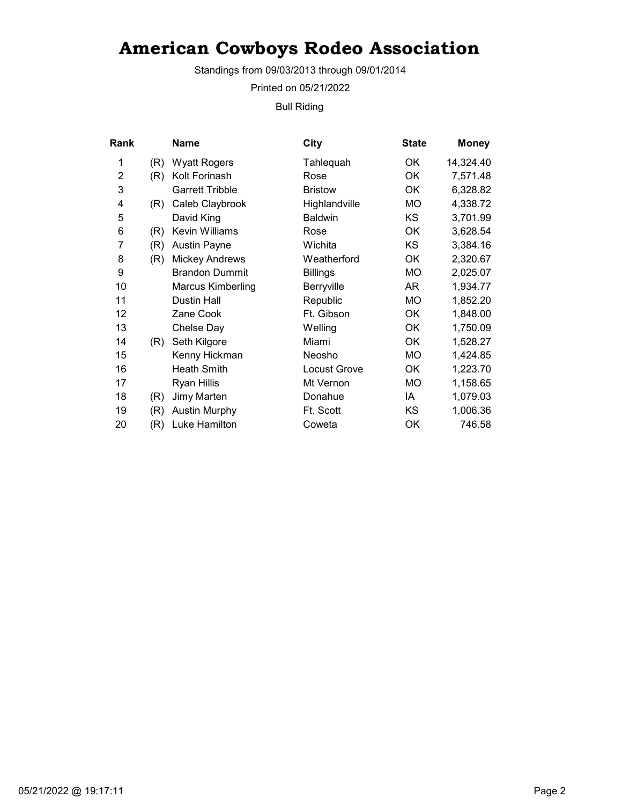Standings from 09/03/2013 through 09/01/2014

Printed on 05/21/2022

Bull Riding

| <b>Rank</b>    |     | Name                     | City                | <b>State</b> | <b>Money</b> |
|----------------|-----|--------------------------|---------------------|--------------|--------------|
| 1              | (R) | <b>Wyatt Rogers</b>      | Tahlequah           | OK.          | 14,324.40    |
| $\overline{2}$ | (R) | Kolt Forinash            | Rose                | <b>OK</b>    | 7,571.48     |
| 3              |     | <b>Garrett Tribble</b>   | <b>Bristow</b>      | <b>OK</b>    | 6,328.82     |
| 4              | (R) | Caleb Claybrook          | Highlandville       | МO           | 4,338.72     |
| 5              |     | David King               | <b>Baldwin</b>      | KS.          | 3,701.99     |
| 6              | (R) | Kevin Williams           | Rose                | OK           | 3,628.54     |
| 7              | (R) | <b>Austin Payne</b>      | Wichita             | KS           | 3,384.16     |
| 8              | (R) | <b>Mickey Andrews</b>    | Weatherford         | <b>OK</b>    | 2,320.67     |
| 9              |     | <b>Brandon Dummit</b>    | <b>Billings</b>     | МO           | 2,025.07     |
| 10             |     | <b>Marcus Kimberling</b> | Berryville          | AR           | 1,934.77     |
| 11             |     | <b>Dustin Hall</b>       | Republic            | MO           | 1,852.20     |
| 12             |     | Zane Cook                | Ft. Gibson          | OK           | 1,848.00     |
| 13             |     | Chelse Day               | Welling             | OK           | 1,750.09     |
| 14             | (R) | Seth Kilgore             | Miami               | <b>OK</b>    | 1,528.27     |
| 15             |     | Kenny Hickman            | Neosho              | МO           | 1,424.85     |
| 16             |     | <b>Heath Smith</b>       | <b>Locust Grove</b> | <b>OK</b>    | 1,223.70     |
| 17             |     | <b>Ryan Hillis</b>       | Mt Vernon           | MO           | 1,158.65     |
| 18             | (R) | Jimy Marten              | Donahue             | ΙA           | 1,079.03     |
| 19             | (R) | <b>Austin Murphy</b>     | Ft. Scott           | KS           | 1,006.36     |
| 20             | (R) | Luke Hamilton            | Coweta              | OK           | 746.58       |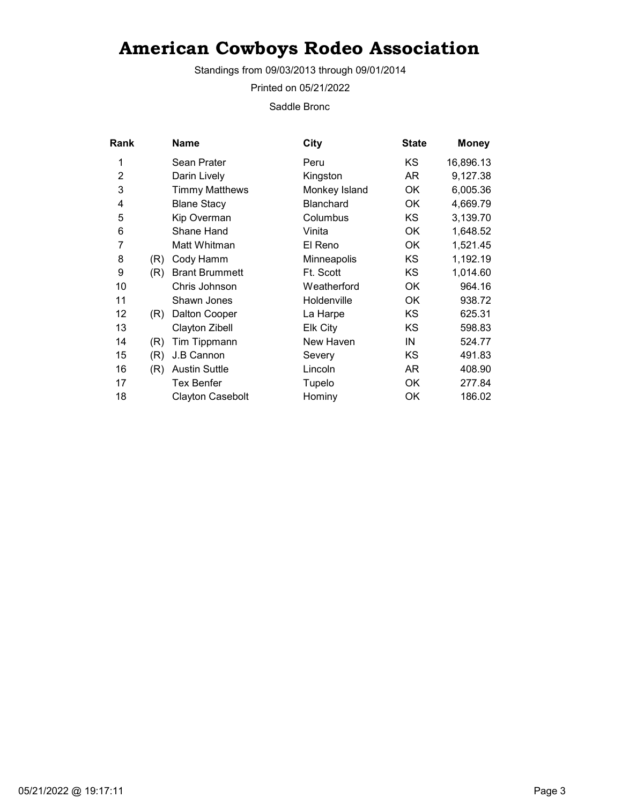Standings from 09/03/2013 through 09/01/2014

Printed on 05/21/2022

Saddle Bronc

| <b>Rank</b>    |     | Name                    | City             | <b>State</b> | <b>Money</b> |
|----------------|-----|-------------------------|------------------|--------------|--------------|
| 1              |     | Sean Prater             | Peru             | KS           | 16,896.13    |
| $\overline{2}$ |     | Darin Lively            | Kingston         | AR           | 9,127.38     |
| 3              |     | <b>Timmy Matthews</b>   | Monkey Island    | ОK           | 6,005.36     |
| 4              |     | <b>Blane Stacy</b>      | <b>Blanchard</b> | ОK           | 4,669.79     |
| 5              |     | Kip Overman             | Columbus         | KS           | 3,139.70     |
| 6              |     | Shane Hand              | Vinita           | <b>OK</b>    | 1,648.52     |
| 7              |     | Matt Whitman            | El Reno          | <b>OK</b>    | 1,521.45     |
| 8              | (R) | Cody Hamm               | Minneapolis      | KS.          | 1,192.19     |
| 9              | (R) | <b>Brant Brummett</b>   | Ft. Scott        | KS.          | 1,014.60     |
| 10             |     | Chris Johnson           | Weatherford      | ОK           | 964.16       |
| 11             |     | Shawn Jones             | Holdenville      | ОK           | 938.72       |
| 12             | (R) | <b>Dalton Cooper</b>    | La Harpe         | KS           | 625.31       |
| 13             |     | Clayton Zibell          | Elk City         | KS           | 598.83       |
| 14             | (R) | Tim Tippmann            | New Haven        | IN           | 524.77       |
| 15             | (R) | J.B Cannon              | Severy           | KS           | 491.83       |
| 16             | (R) | <b>Austin Suttle</b>    | Lincoln          | AR           | 408.90       |
| 17             |     | Tex Benfer              | Tupelo           | OK           | 277.84       |
| 18             |     | <b>Clayton Casebolt</b> | Hominy           | ΟK           | 186.02       |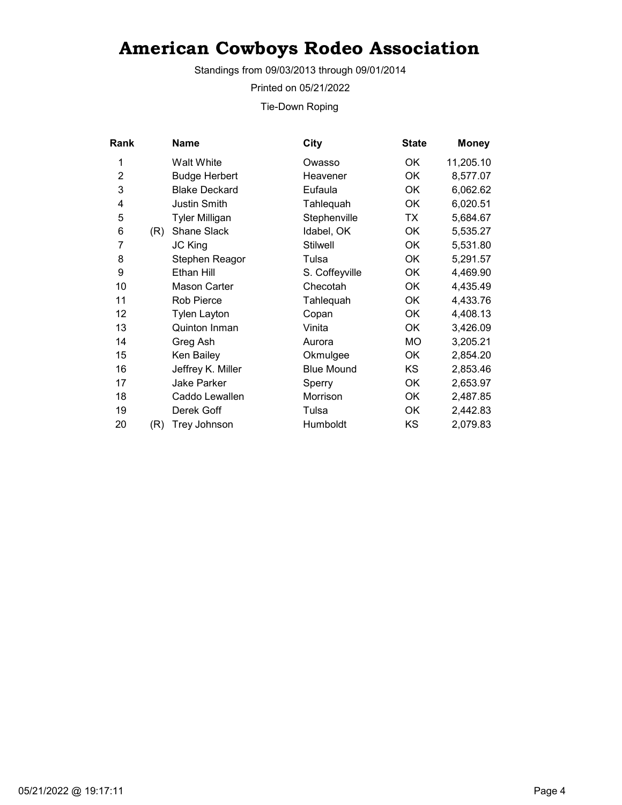Standings from 09/03/2013 through 09/01/2014

Printed on 05/21/2022

Tie-Down Roping

| Rank           |     | <b>Name</b>           | City              | <b>State</b> | <b>Money</b> |
|----------------|-----|-----------------------|-------------------|--------------|--------------|
| 1              |     | Walt White            | Owasso            | 0K           | 11,205.10    |
| $\overline{2}$ |     | <b>Budge Herbert</b>  | Heavener          | <b>OK</b>    | 8,577.07     |
| 3              |     | <b>Blake Deckard</b>  | Eufaula           | ОK           | 6,062.62     |
| 4              |     | Justin Smith          | Tahlequah         | OK           | 6,020.51     |
| 5              |     | <b>Tyler Milligan</b> | Stephenville      | TX           | 5,684.67     |
| 6              | (R) | Shane Slack           | Idabel, OK        | <b>OK</b>    | 5,535.27     |
| 7              |     | <b>JC King</b>        | <b>Stilwell</b>   | OK           | 5,531.80     |
| 8              |     | Stephen Reagor        | Tulsa             | OK           | 5,291.57     |
| 9              |     | Ethan Hill            | S. Coffeyville    | OK           | 4,469.90     |
| 10             |     | Mason Carter          | Checotah          | OK           | 4,435.49     |
| 11             |     | <b>Rob Pierce</b>     | Tahlequah         | OK           | 4,433.76     |
| 12             |     | Tylen Layton          | Copan             | OK           | 4,408.13     |
| 13             |     | Quinton Inman         | Vinita            | OK           | 3,426.09     |
| 14             |     | Greg Ash              | Aurora            | МO           | 3,205.21     |
| 15             |     | Ken Bailey            | Okmulgee          | OK           | 2,854.20     |
| 16             |     | Jeffrey K. Miller     | <b>Blue Mound</b> | KS           | 2,853.46     |
| 17             |     | Jake Parker           | Sperry            | OK           | 2,653.97     |
| 18             |     | Caddo Lewallen        | Morrison          | OK           | 2,487.85     |
| 19             |     | Derek Goff            | Tulsa             | OK           | 2,442.83     |
| 20             | (R) | Trey Johnson          | Humboldt          | KS           | 2,079.83     |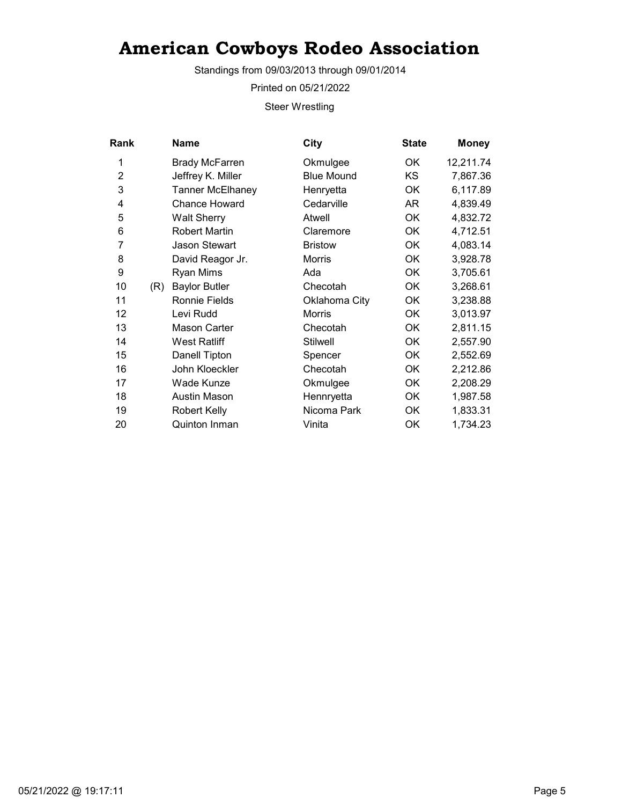Standings from 09/03/2013 through 09/01/2014

Printed on 05/21/2022

Steer Wrestling

| Rank           |     | <b>Name</b>           | City              | <b>State</b> | <b>Money</b> |
|----------------|-----|-----------------------|-------------------|--------------|--------------|
| 1              |     | <b>Brady McFarren</b> | Okmulgee          | OK           | 12,211.74    |
| $\overline{2}$ |     | Jeffrey K. Miller     | <b>Blue Mound</b> | <b>KS</b>    | 7,867.36     |
| 3              |     | Tanner McElhaney      | Henryetta         | OK           | 6,117.89     |
| 4              |     | Chance Howard         | Cedarville        | AR           | 4,839.49     |
| 5              |     | <b>Walt Sherry</b>    | Atwell            | OK           | 4,832.72     |
| 6              |     | <b>Robert Martin</b>  | Claremore         | OK           | 4,712.51     |
| 7              |     | <b>Jason Stewart</b>  | <b>Bristow</b>    | 0K           | 4,083.14     |
| 8              |     | David Reagor Jr.      | Morris            | OK           | 3,928.78     |
| 9              |     | Ryan Mims             | Ada               | 0K           | 3,705.61     |
| 10             | (R) | <b>Baylor Butler</b>  | Checotah          | OK           | 3,268.61     |
| 11             |     | <b>Ronnie Fields</b>  | Oklahoma City     | OK           | 3,238.88     |
| 12             |     | Levi Rudd             | <b>Morris</b>     | OK           | 3,013.97     |
| 13             |     | <b>Mason Carter</b>   | Checotah          | <b>OK</b>    | 2,811.15     |
| 14             |     | <b>West Ratliff</b>   | <b>Stilwell</b>   | OK           | 2,557.90     |
| 15             |     | Danell Tipton         | Spencer           | <b>OK</b>    | 2,552.69     |
| 16             |     | John Kloeckler        | Checotah          | OK           | 2,212.86     |
| 17             |     | Wade Kunze            | Okmulgee          | OK           | 2,208.29     |
| 18             |     | <b>Austin Mason</b>   | Hennryetta        | OK           | 1,987.58     |
| 19             |     | <b>Robert Kelly</b>   | Nicoma Park       | OK           | 1,833.31     |
| 20             |     | Quinton Inman         | Vinita            | ОK           | 1,734.23     |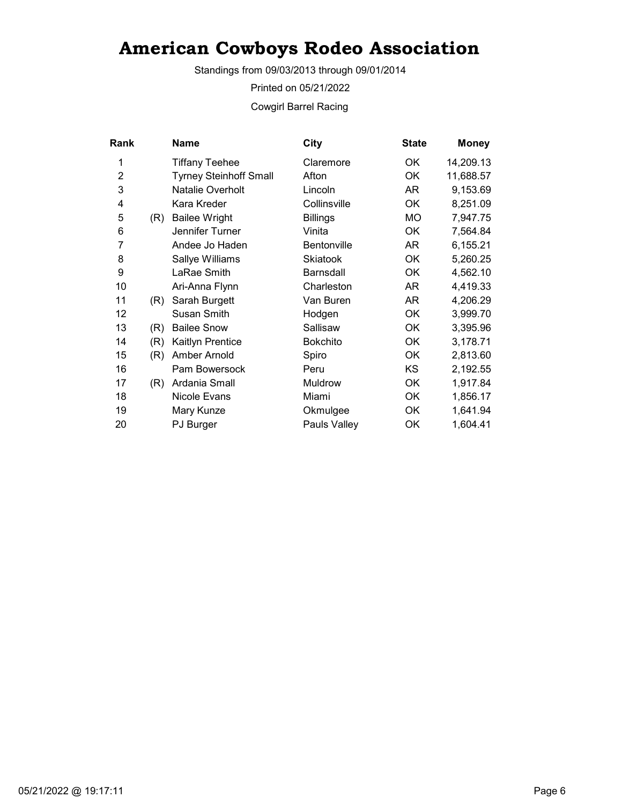Standings from 09/03/2013 through 09/01/2014

Printed on 05/21/2022

Cowgirl Barrel Racing

| Rank           |     | <b>Name</b>                   | City               | <b>State</b> | <b>Money</b> |
|----------------|-----|-------------------------------|--------------------|--------------|--------------|
| 1              |     | <b>Tiffany Teehee</b>         | Claremore          | ОK           | 14,209.13    |
| $\overline{2}$ |     | <b>Tyrney Steinhoff Small</b> | Afton              | OK           | 11,688.57    |
| 3              |     | Natalie Overholt              | Lincoln            | AR           | 9,153.69     |
| 4              |     | Kara Kreder                   | Collinsville       | <b>OK</b>    | 8,251.09     |
| 5              | (R) | <b>Bailee Wright</b>          | <b>Billings</b>    | МO           | 7,947.75     |
| 6              |     | Jennifer Turner               | Vinita             | <b>OK</b>    | 7,564.84     |
| 7              |     | Andee Jo Haden                | <b>Bentonville</b> | AR           | 6,155.21     |
| 8              |     | Sallye Williams               | <b>Skiatook</b>    | ОK           | 5,260.25     |
| 9              |     | LaRae Smith                   | <b>Barnsdall</b>   | OK           | 4,562.10     |
| 10             |     | Ari-Anna Flynn                | Charleston         | AR           | 4,419.33     |
| 11             | (R) | Sarah Burgett                 | Van Buren          | AR.          | 4,206.29     |
| 12             |     | <b>Susan Smith</b>            | Hodgen             | OK           | 3,999.70     |
| 13             | (R) | <b>Bailee Snow</b>            | Sallisaw           | OK           | 3,395.96     |
| 14             | (R) | Kaitlyn Prentice              | <b>Bokchito</b>    | OK           | 3,178.71     |
| 15             | (R) | Amber Arnold                  | Spiro              | OK           | 2,813.60     |
| 16             |     | Pam Bowersock                 | Peru               | KS.          | 2,192.55     |
| 17             | (R) | Ardania Small                 | Muldrow            | OK           | 1,917.84     |
| 18             |     | Nicole Evans                  | Miami              | OK           | 1,856.17     |
| 19             |     | Mary Kunze                    | Okmulgee           | OK           | 1,641.94     |
| 20             |     | PJ Burger                     | Pauls Valley       | ОК           | 1,604.41     |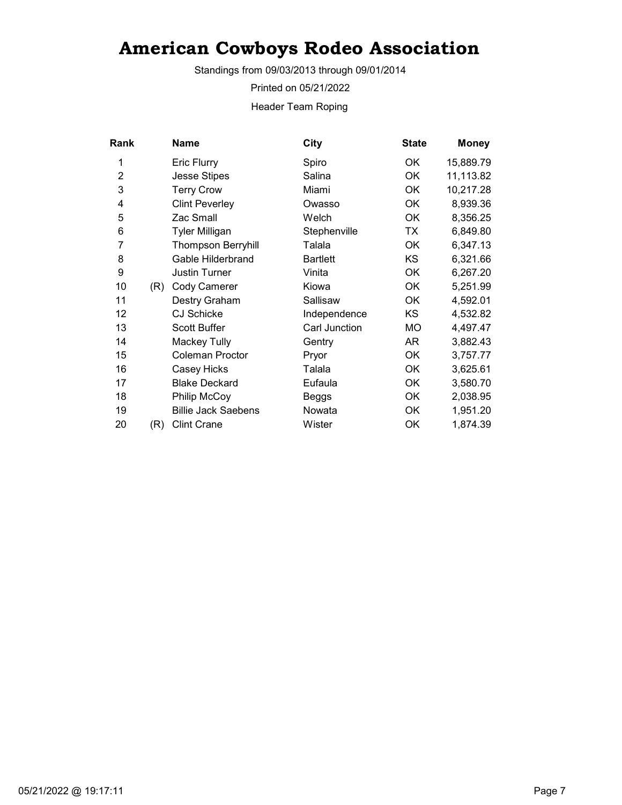Standings from 09/03/2013 through 09/01/2014

Printed on 05/21/2022

Header Team Roping

| Rank           |     | Name                       | City            | <b>State</b> | <b>Money</b> |
|----------------|-----|----------------------------|-----------------|--------------|--------------|
| 1              |     | <b>Eric Flurry</b>         | Spiro           | 0K           | 15,889.79    |
| $\overline{2}$ |     | <b>Jesse Stipes</b>        | Salina          | OK           | 11,113.82    |
| 3              |     | <b>Terry Crow</b>          | Miami           | OK           | 10,217.28    |
| 4              |     | <b>Clint Peverley</b>      | Owasso          | OK           | 8,939.36     |
| 5              |     | Zac Small                  | Welch           | OK           | 8,356.25     |
| 6              |     | <b>Tyler Milligan</b>      | Stephenville    | TX           | 6,849.80     |
| 7              |     | <b>Thompson Berryhill</b>  | Talala          | OK           | 6,347.13     |
| 8              |     | Gable Hilderbrand          | <b>Bartlett</b> | <b>KS</b>    | 6,321.66     |
| 9              |     | <b>Justin Turner</b>       | Vinita          | OK           | 6,267.20     |
| 10             | (R) | Cody Camerer               | Kiowa           | OK           | 5,251.99     |
| 11             |     | Destry Graham              | Sallisaw        | 0K           | 4,592.01     |
| 12             |     | <b>CJ Schicke</b>          | Independence    | KS           | 4,532.82     |
| 13             |     | <b>Scott Buffer</b>        | Carl Junction   | <b>MO</b>    | 4,497.47     |
| 14             |     | Mackey Tully               | Gentry          | AR           | 3,882.43     |
| 15             |     | <b>Coleman Proctor</b>     | Pryor           | OK           | 3,757.77     |
| 16             |     | Casey Hicks                | Talala          | OK           | 3,625.61     |
| 17             |     | <b>Blake Deckard</b>       | Eufaula         | OK           | 3,580.70     |
| 18             |     | Philip McCoy               | Beggs           | OK           | 2,038.95     |
| 19             |     | <b>Billie Jack Saebens</b> | Nowata          | OK           | 1,951.20     |
| 20             | (R) | <b>Clint Crane</b>         | Wister          | OK           | 1,874.39     |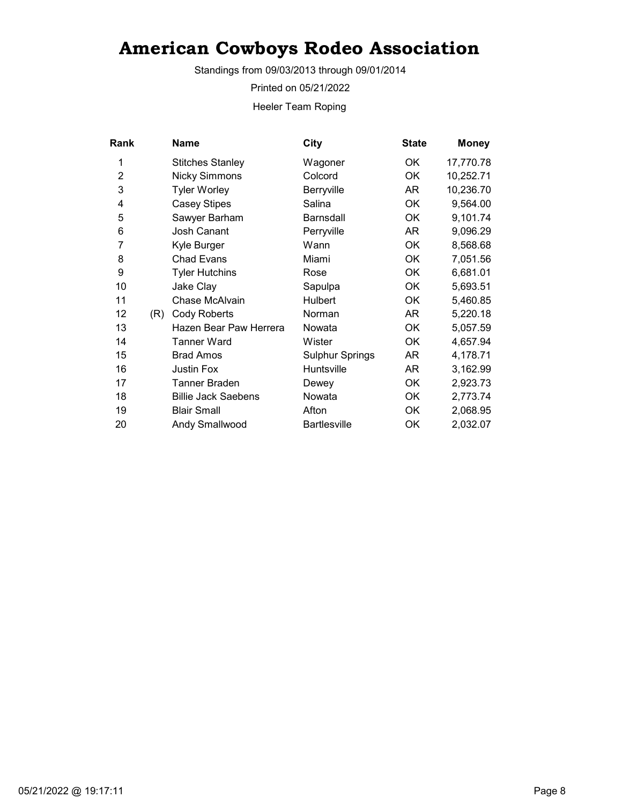Standings from 09/03/2013 through 09/01/2014

Printed on 05/21/2022

Heeler Team Roping

| Rank           |     | Name                       | City                   | <b>State</b> | <b>Money</b> |
|----------------|-----|----------------------------|------------------------|--------------|--------------|
| 1              |     | <b>Stitches Stanley</b>    | Wagoner                | OK.          | 17,770.78    |
| $\overline{2}$ |     | <b>Nicky Simmons</b>       | Colcord                | OK           | 10,252.71    |
| 3              |     | <b>Tyler Worley</b>        | Berryville             | AR           | 10,236.70    |
| 4              |     | <b>Casey Stipes</b>        | Salina                 | OK           | 9,564.00     |
| 5              |     | Sawyer Barham              | <b>Barnsdall</b>       | 0K           | 9,101.74     |
| 6              |     | <b>Josh Canant</b>         | Perryville             | AR           | 9,096.29     |
| 7              |     | Kyle Burger                | Wann                   | OK           | 8,568.68     |
| 8              |     | <b>Chad Evans</b>          | Miami                  | OK           | 7,051.56     |
| 9              |     | <b>Tyler Hutchins</b>      | Rose                   | OK           | 6,681.01     |
| 10             |     | Jake Clay                  | Sapulpa                | OK           | 5,693.51     |
| 11             |     | Chase McAlvain             | <b>Hulbert</b>         | OK           | 5,460.85     |
| 12             | (R) | <b>Cody Roberts</b>        | Norman                 | AR           | 5,220.18     |
| 13             |     | Hazen Bear Paw Herrera     | Nowata                 | OK           | 5,057.59     |
| 14             |     | Tanner Ward                | Wister                 | OK           | 4,657.94     |
| 15             |     | <b>Brad Amos</b>           | <b>Sulphur Springs</b> | AR           | 4,178.71     |
| 16             |     | <b>Justin Fox</b>          | Huntsville             | AR           | 3,162.99     |
| 17             |     | Tanner Braden              | Dewey                  | OK           | 2,923.73     |
| 18             |     | <b>Billie Jack Saebens</b> | Nowata                 | OK           | 2,773.74     |
| 19             |     | <b>Blair Small</b>         | Afton                  | OK           | 2,068.95     |
| 20             |     | <b>Andy Smallwood</b>      | <b>Bartlesville</b>    | OK           | 2,032.07     |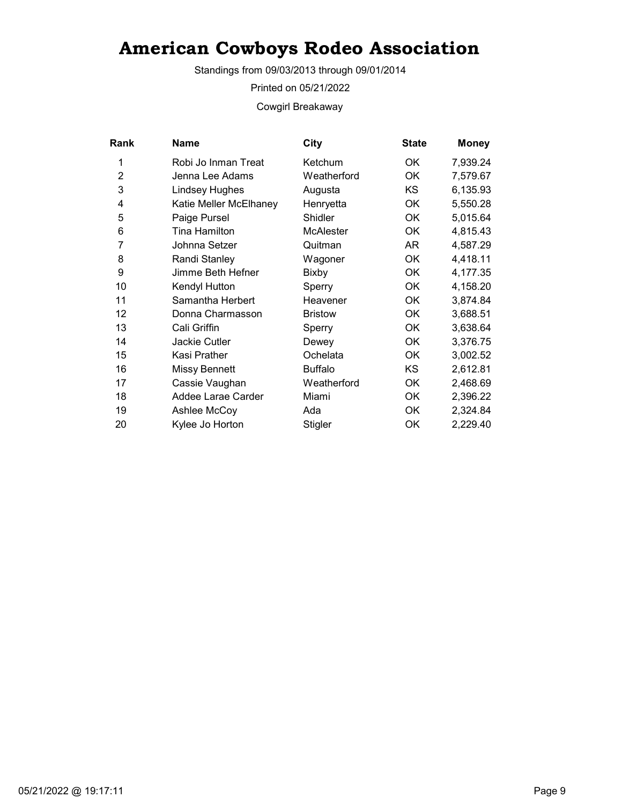Standings from 09/03/2013 through 09/01/2014

Printed on 05/21/2022

Cowgirl Breakaway

| <b>Rank</b>    | Name                   | City             | <b>State</b> | <b>Money</b> |
|----------------|------------------------|------------------|--------------|--------------|
| 1              | Robi Jo Inman Treat    | Ketchum          | OK.          | 7,939.24     |
| $\overline{2}$ | Jenna Lee Adams        | Weatherford      | OK           | 7,579.67     |
| 3              | <b>Lindsey Hughes</b>  | Augusta          | KS.          | 6,135.93     |
| 4              | Katie Meller McElhaney | Henryetta        | OK           | 5,550.28     |
| 5              | Paige Pursel           | Shidler          | ОK           | 5,015.64     |
| 6              | Tina Hamilton          | <b>McAlester</b> | OK           | 4,815.43     |
| 7              | Johnna Setzer          | Quitman          | AR.          | 4,587.29     |
| 8              | Randi Stanley          | Wagoner          | ОK           | 4,418.11     |
| 9              | Jimme Beth Hefner      | Bixby            | <b>OK</b>    | 4,177.35     |
| 10             | Kendyl Hutton          | Sperry           | OK           | 4,158.20     |
| 11             | Samantha Herbert       | Heavener         | ОK           | 3,874.84     |
| 12             | Donna Charmasson       | <b>Bristow</b>   | OK           | 3,688.51     |
| 13             | Cali Griffin           | Sperry           | ОK           | 3,638.64     |
| 14             | <b>Jackie Cutler</b>   | Dewey            | <b>OK</b>    | 3,376.75     |
| 15             | Kasi Prather           | Ochelata         | OK           | 3,002.52     |
| 16             | <b>Missy Bennett</b>   | <b>Buffalo</b>   | KS.          | 2,612.81     |
| 17             | Cassie Vaughan         | Weatherford      | ОK           | 2,468.69     |
| 18             | Addee Larae Carder     | Miami            | OK           | 2,396.22     |
| 19             | Ashlee McCoy           | Ada              | OK           | 2,324.84     |
| 20             | Kylee Jo Horton        | Stigler          | OK           | 2,229.40     |